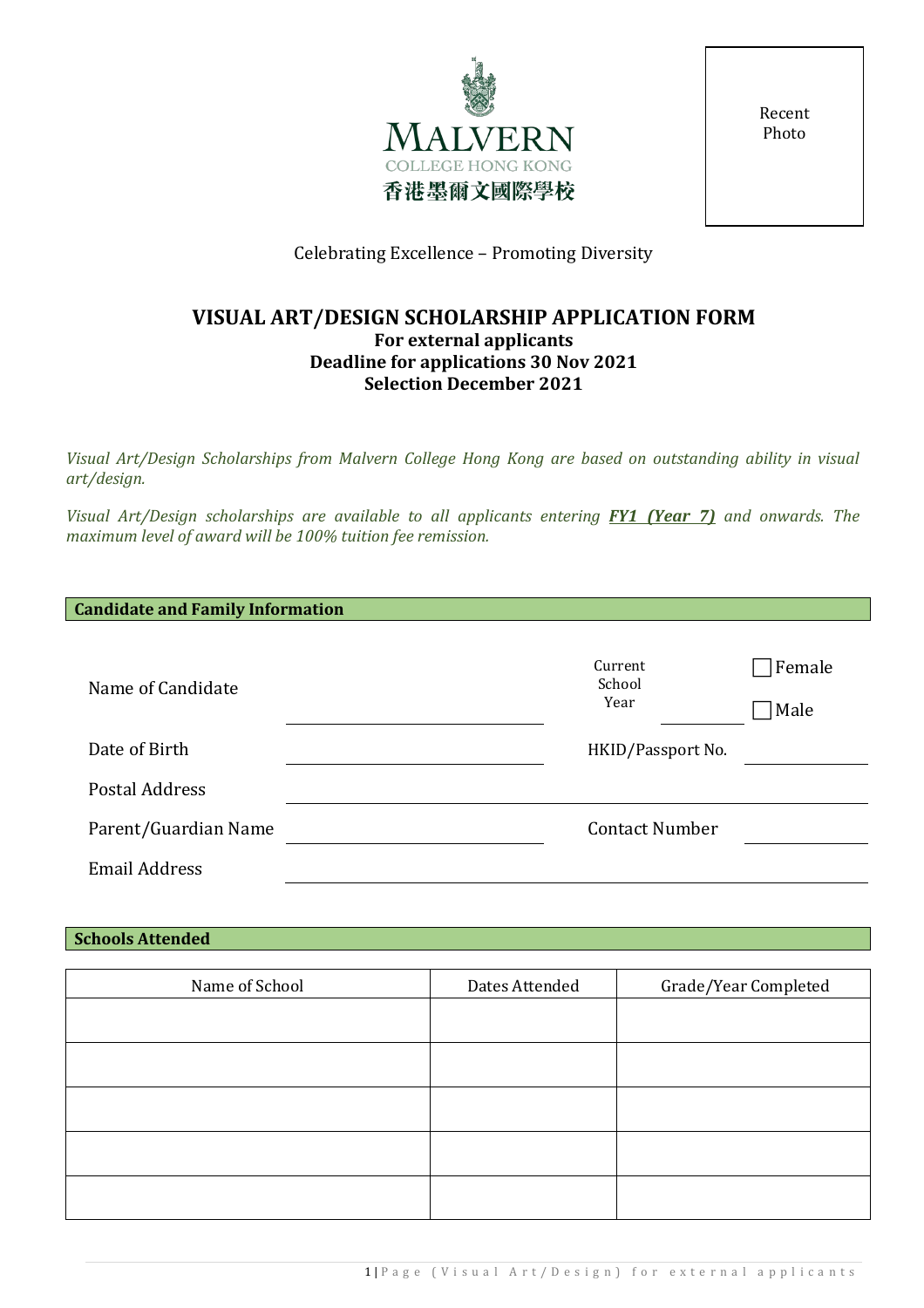

Recent Photo

# Celebrating Excellence – Promoting Diversity

## **VISUAL ART/DESIGN SCHOLARSHIP APPLICATION FORM For external applicants Deadline for applications 30 Nov 2021 Selection December 2021**

*Visual Art/Design Scholarships from Malvern College Hong Kong are based on outstanding ability in visual art/design.* 

*Visual Art/Design scholarships are available to all applicants entering FY1 (Year 7) and onwards. The maximum level of award will be 100% tuition fee remission.*

| Name of Candidate    | Current<br>School<br>Year | Female<br>Male |
|----------------------|---------------------------|----------------|
| Date of Birth        | HKID/Passport No.         |                |
| Postal Address       |                           |                |
| Parent/Guardian Name | <b>Contact Number</b>     |                |
| <b>Email Address</b> |                           |                |

## **Schools Attended**

| Name of School | Dates Attended | Grade/Year Completed |
|----------------|----------------|----------------------|
|                |                |                      |
|                |                |                      |
|                |                |                      |
|                |                |                      |
|                |                |                      |
|                |                |                      |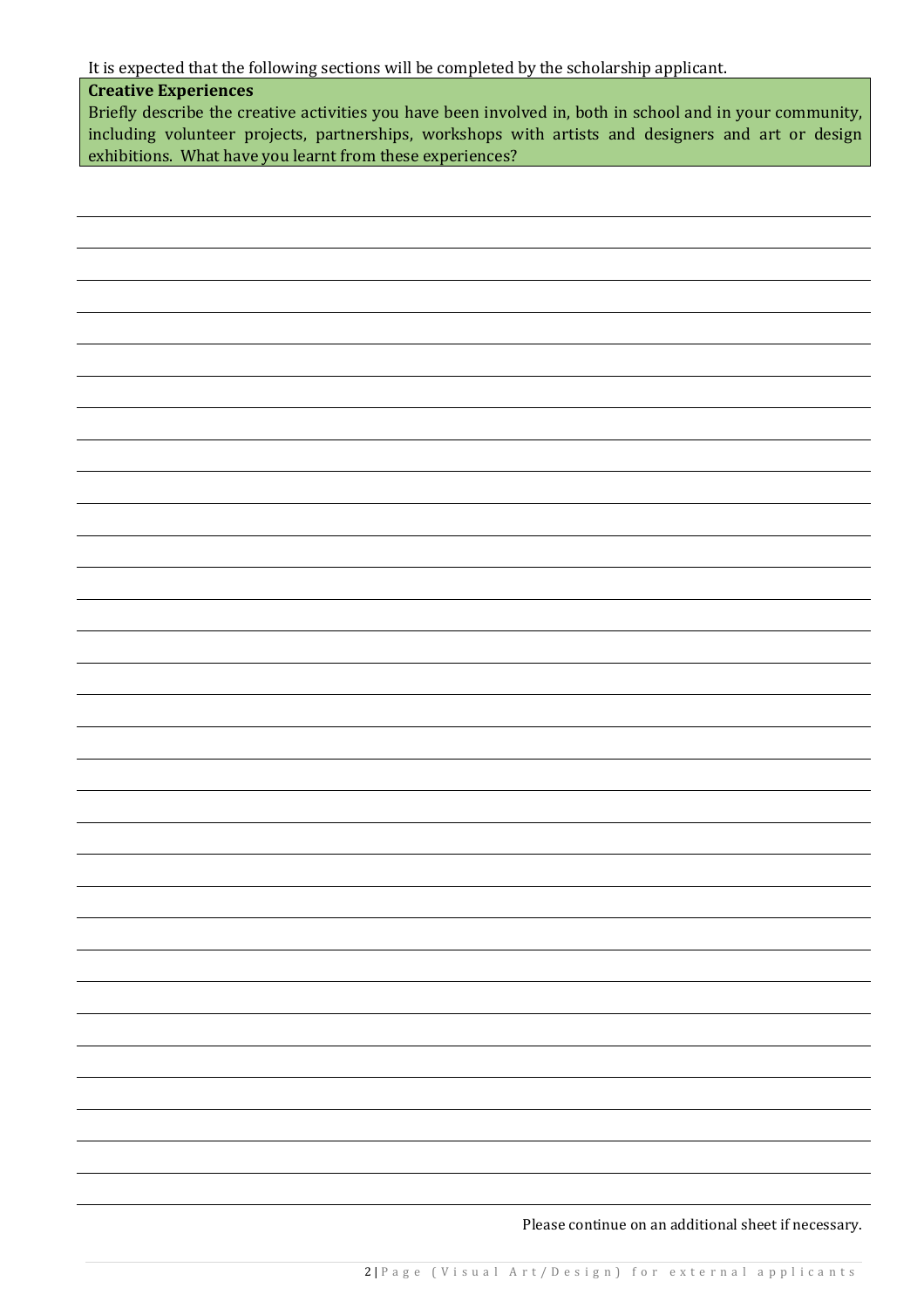It is expected that the following sections will be completed by the scholarship applicant.

## **Creative Experiences**

Briefly describe the creative activities you have been involved in, both in school and in your community, including volunteer projects, partnerships, workshops with artists and designers and art or design exhibitions. What have you learnt from these experiences?

Please continue on an additional sheet if necessary.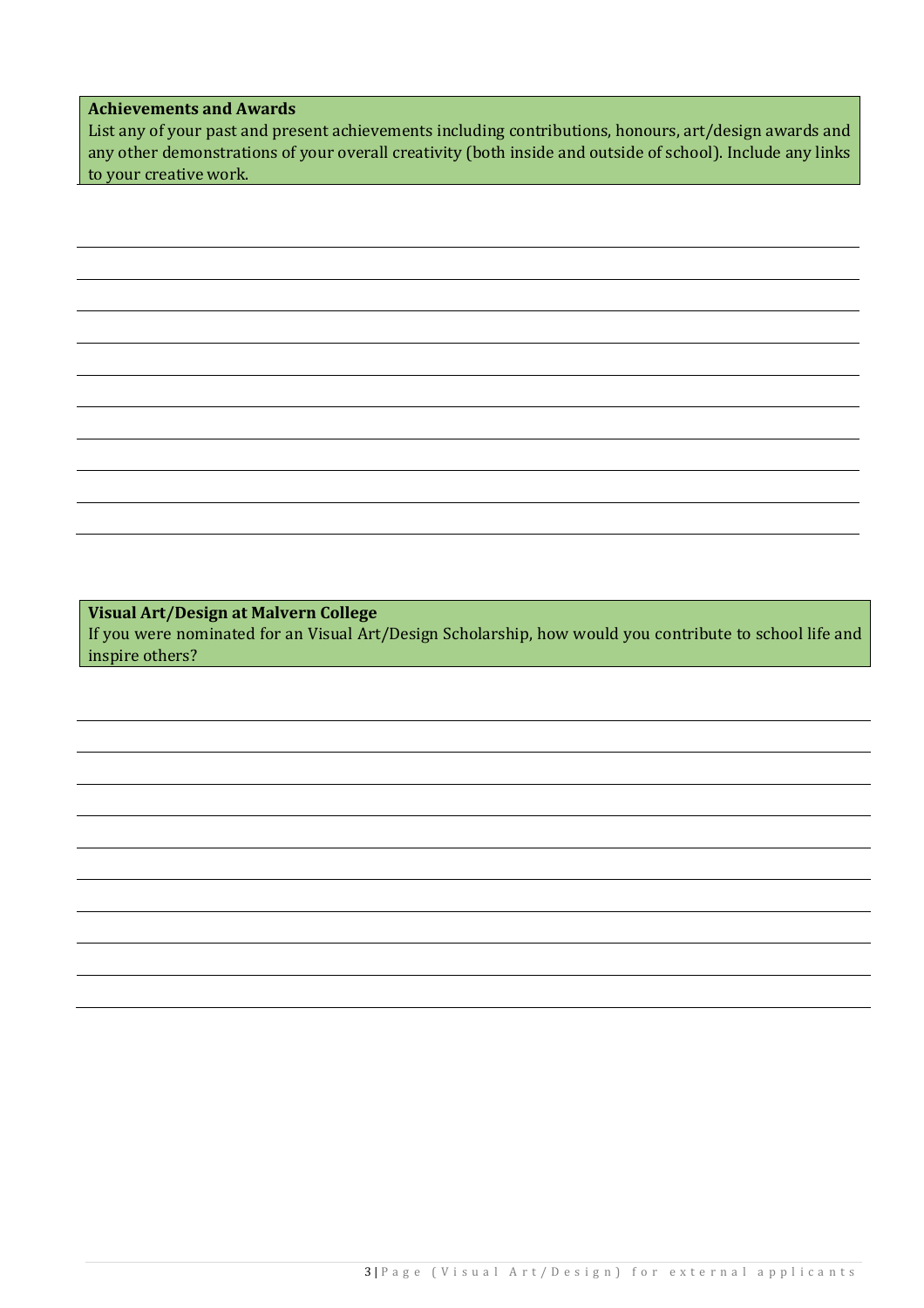### **Achievements and Awards**

List any of your past and present achievements including contributions, honours, art/design awards and any other demonstrations of your overall creativity (both inside and outside of school). Include any links to your creative work.

**Visual Art/Design at Malvern College**

If you were nominated for an Visual Art/Design Scholarship, how would you contribute to school life and inspire others?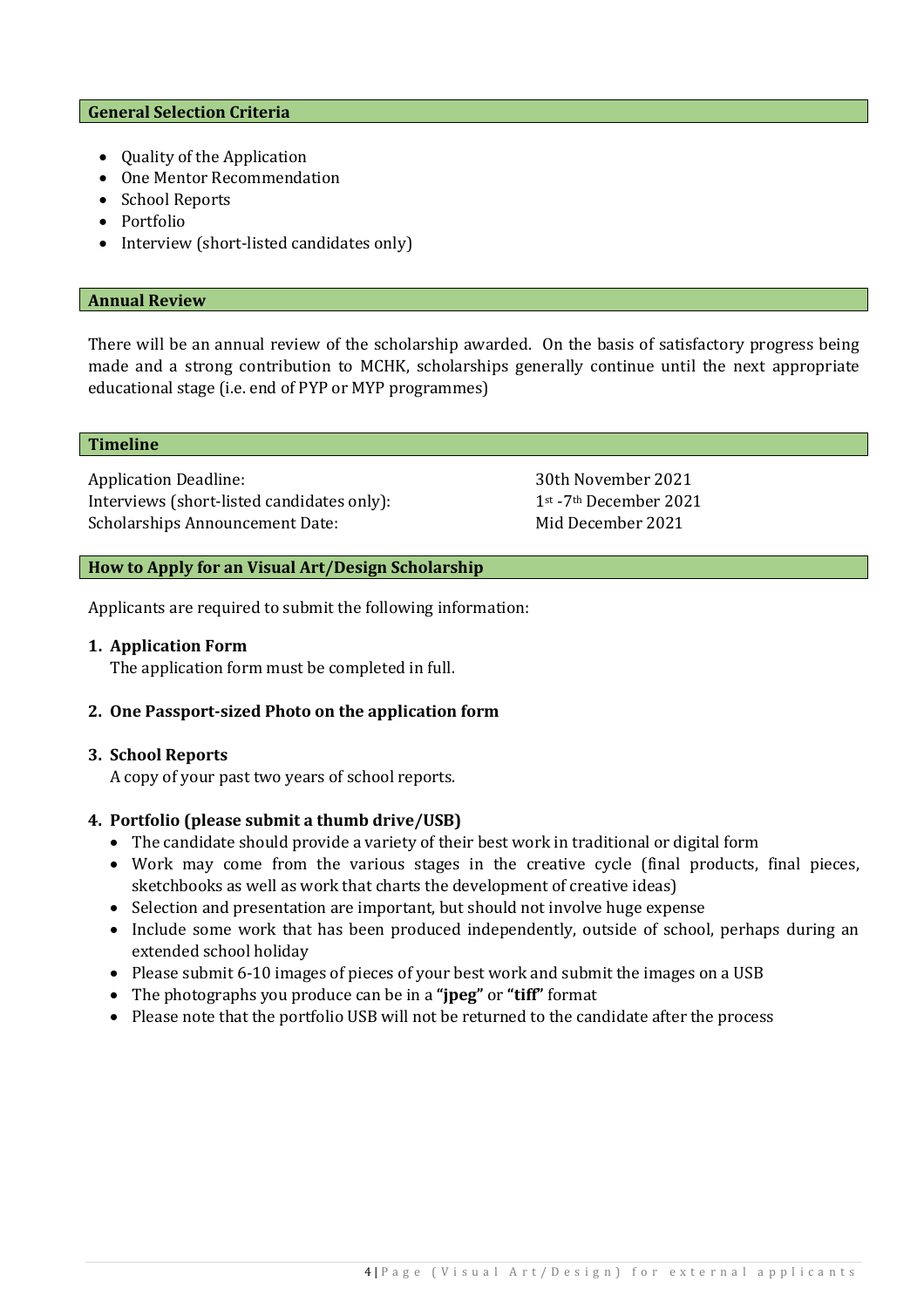### **General Selection Criteria**

- Quality of the Application
- One Mentor Recommendation
- School Reports
- Portfolio
- Interview (short-listed candidates only)

#### **Annual Review**

There will be an annual review of the scholarship awarded. On the basis of satisfactory progress being made and a strong contribution to MCHK, scholarships generally continue until the next appropriate educational stage (i.e. end of PYP or MYP programmes)

#### **Timeline**

Application Deadline: 30th November 2021<br>Interviews (short-listed candidates only): 1st-7th December 2021 Interviews (short-listed candidates only): Scholarships Announcement Date: Mid December 2021

## **How to Apply for an Visual Art/Design Scholarship**

Applicants are required to submit the following information:

### **1. Application Form**

The application form must be completed in full.

## **2. One Passport-sized Photo on the application form**

### **3. School Reports**

A copy of your past two years of school reports.

## **4. Portfolio (please submit a thumb drive/USB)**

- The candidate should provide a variety of their best work in traditional or digital form
- Work may come from the various stages in the creative cycle (final products, final pieces, sketchbooks as well as work that charts the development of creative ideas)
- Selection and presentation are important, but should not involve huge expense
- Include some work that has been produced independently, outside of school, perhaps during an extended school holiday
- Please submit 6-10 images of pieces of your best work and submit the images on a USB
- The photographs you produce can be in a **"jpeg"** or **"tiff"** format
- Please note that the portfolio USB will not be returned to the candidate after the process